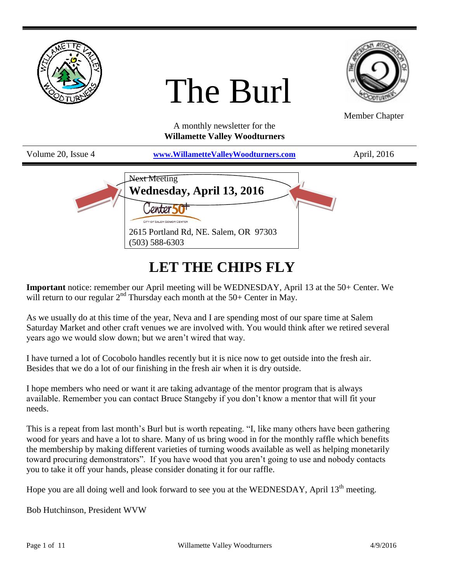

# **LET THE CHIPS FLY**

**Important** notice: remember our April meeting will be WEDNESDAY, April 13 at the 50+ Center. We will return to our regular  $2<sup>nd</sup>$  Thursday each month at the 50+ Center in May.

As we usually do at this time of the year, Neva and I are spending most of our spare time at Salem Saturday Market and other craft venues we are involved with. You would think after we retired several years ago we would slow down; but we aren't wired that way.

I have turned a lot of Cocobolo handles recently but it is nice now to get outside into the fresh air. Besides that we do a lot of our finishing in the fresh air when it is dry outside.

I hope members who need or want it are taking advantage of the mentor program that is always available. Remember you can contact Bruce Stangeby if you don't know a mentor that will fit your needs.

This is a repeat from last month's Burl but is worth repeating. "I, like many others have been gathering wood for years and have a lot to share. Many of us bring wood in for the monthly raffle which benefits the membership by making different varieties of turning woods available as well as helping monetarily toward procuring demonstrators". If you have wood that you aren't going to use and nobody contacts you to take it off your hands, please consider donating it for our raffle.

Hope you are all doing well and look forward to see you at the WEDNESDAY, April 13<sup>th</sup> meeting.

Bob Hutchinson, President WVW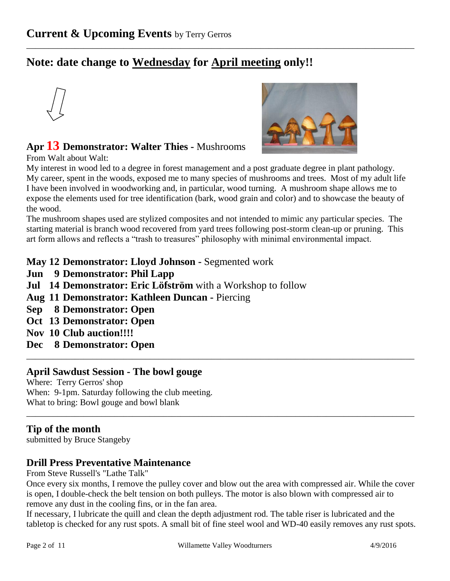# **Note: date change to Wednesday for April meeting only!!**





## **Apr 13 Demonstrator: Walter Thies -** Mushrooms

From Walt about Walt:

My interest in wood led to a degree in forest management and a post graduate degree in plant pathology. My career, spent in the woods, exposed me to many species of mushrooms and trees. Most of my adult life I have been involved in woodworking and, in particular, wood turning. A mushroom shape allows me to expose the elements used for tree identification (bark, wood grain and color) and to showcase the beauty of the wood.

\_\_\_\_\_\_\_\_\_\_\_\_\_\_\_\_\_\_\_\_\_\_\_\_\_\_\_\_\_\_\_\_\_\_\_\_\_\_\_\_\_\_\_\_\_\_\_\_\_\_\_\_\_\_\_\_\_\_\_\_\_\_\_\_\_\_\_\_\_\_\_\_\_\_\_\_\_\_\_\_\_\_\_\_\_\_\_\_

The mushroom shapes used are stylized composites and not intended to mimic any particular species. The starting material is branch wood recovered from yard trees following post-storm clean-up or pruning. This art form allows and reflects a "trash to treasures" philosophy with minimal environmental impact.

**May 12 Demonstrator: Lloyd Johnson -** Segmented work

- **Jun 9 Demonstrator: Phil Lapp**
- **Jul 14 Demonstrator: Eric Löfström** with a Workshop to follow
- **Aug 11 Demonstrator: Kathleen Duncan -** Piercing
- **Sep 8 Demonstrator: Open**
- **Oct 13 Demonstrator: Open**
- **Nov 10 Club auction!!!!**
- **Dec 8 Demonstrator: Open**

#### **April Sawdust Session - The bowl gouge**

Where: Terry Gerros' shop When: 9-1pm. Saturday following the club meeting. What to bring: Bowl gouge and bowl blank

#### **Tip of the month**

submitted by Bruce Stangeby

#### **Drill Press Preventative Maintenance**

From Steve Russell's "Lathe Talk"

Once every six months, I remove the pulley cover and blow out the area with compressed air. While the cover is open, I double-check the belt tension on both pulleys. The motor is also blown with compressed air to remove any dust in the cooling fins, or in the fan area.

\_\_\_\_\_\_\_\_\_\_\_\_\_\_\_\_\_\_\_\_\_\_\_\_\_\_\_\_\_\_\_\_\_\_\_\_\_\_\_\_\_\_\_\_\_\_\_\_\_\_\_\_\_\_\_\_\_\_\_\_\_\_\_\_\_\_\_\_\_\_\_\_\_\_\_\_\_\_\_\_\_\_\_\_\_\_\_\_

\_\_\_\_\_\_\_\_\_\_\_\_\_\_\_\_\_\_\_\_\_\_\_\_\_\_\_\_\_\_\_\_\_\_\_\_\_\_\_\_\_\_\_\_\_\_\_\_\_\_\_\_\_\_\_\_\_\_\_\_\_\_\_\_\_\_\_\_\_\_\_\_\_\_\_\_\_\_\_\_\_\_\_\_\_\_\_\_

If necessary, I lubricate the quill and clean the depth adjustment rod. The table riser is lubricated and the tabletop is checked for any rust spots. A small bit of fine steel wool and WD-40 easily removes any rust spots.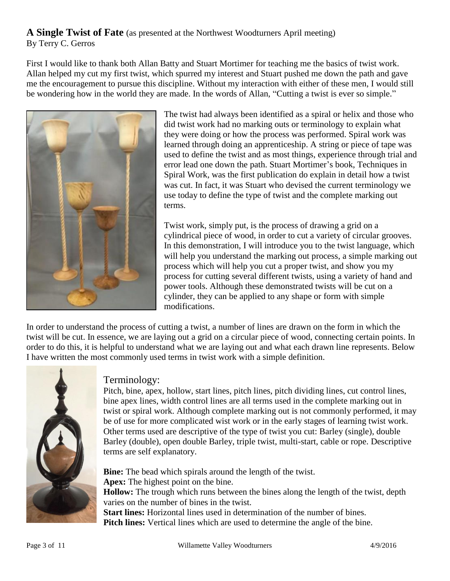#### **A Single Twist of Fate** (as presented at the Northwest Woodturners April meeting) By Terry C. Gerros

First I would like to thank both Allan Batty and Stuart Mortimer for teaching me the basics of twist work. Allan helped my cut my first twist, which spurred my interest and Stuart pushed me down the path and gave me the encouragement to pursue this discipline. Without my interaction with either of these men, I would still be wondering how in the world they are made. In the words of Allan, "Cutting a twist is ever so simple."



The twist had always been identified as a spiral or helix and those who did twist work had no marking outs or terminology to explain what they were doing or how the process was performed. Spiral work was learned through doing an apprenticeship. A string or piece of tape was used to define the twist and as most things, experience through trial and error lead one down the path. Stuart Mortimer's book, Techniques in Spiral Work, was the first publication do explain in detail how a twist was cut. In fact, it was Stuart who devised the current terminology we use today to define the type of twist and the complete marking out terms.

Twist work, simply put, is the process of drawing a grid on a cylindrical piece of wood, in order to cut a variety of circular grooves. In this demonstration, I will introduce you to the twist language, which will help you understand the marking out process, a simple marking out process which will help you cut a proper twist, and show you my process for cutting several different twists, using a variety of hand and power tools. Although these demonstrated twists will be cut on a cylinder, they can be applied to any shape or form with simple modifications.

In order to understand the process of cutting a twist, a number of lines are drawn on the form in which the twist will be cut. In essence, we are laying out a grid on a circular piece of wood, connecting certain points. In order to do this, it is helpful to understand what we are laying out and what each drawn line represents. Below I have written the most commonly used terms in twist work with a simple definition.



#### Terminology:

Pitch, bine, apex, hollow, start lines, pitch lines, pitch dividing lines, cut control lines, bine apex lines, width control lines are all terms used in the complete marking out in twist or spiral work. Although complete marking out is not commonly performed, it may be of use for more complicated wist work or in the early stages of learning twist work. Other terms used are descriptive of the type of twist you cut: Barley (single), double Barley (double), open double Barley, triple twist, multi-start, cable or rope. Descriptive terms are self explanatory.

**Bine:** The bead which spirals around the length of the twist. **Apex:** The highest point on the bine. **Hollow:** The trough which runs between the bines along the length of the twist, depth varies on the number of bines in the twist. **Start lines:** Horizontal lines used in determination of the number of bines.

**Pitch lines:** Vertical lines which are used to determine the angle of the bine.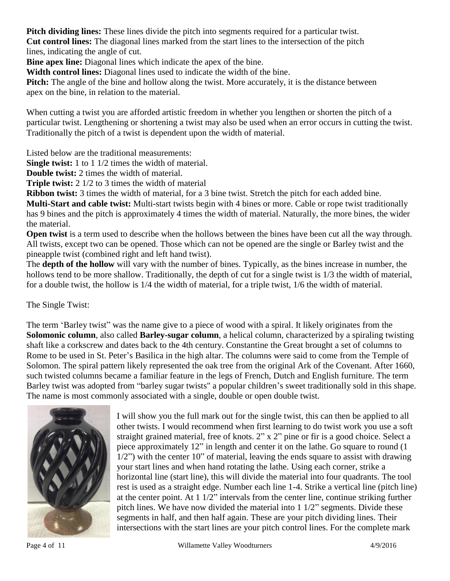**Pitch dividing lines:** These lines divide the pitch into segments required for a particular twist.

**Cut control lines:** The diagonal lines marked from the start lines to the intersection of the pitch lines, indicating the angle of cut.

**Bine apex line:** Diagonal lines which indicate the apex of the bine.

**Width control lines:** Diagonal lines used to indicate the width of the bine.

**Pitch:** The angle of the bine and hollow along the twist. More accurately, it is the distance between apex on the bine, in relation to the material.

When cutting a twist you are afforded artistic freedom in whether you lengthen or shorten the pitch of a particular twist. Lengthening or shortening a twist may also be used when an error occurs in cutting the twist. Traditionally the pitch of a twist is dependent upon the width of material.

Listed below are the traditional measurements:

**Single twist:** 1 to 1 1/2 times the width of material.

**Double twist:** 2 times the width of material.

**Triple twist:** 2 1/2 to 3 times the width of material

**Ribbon twist:** 3 times the width of material, for a 3 bine twist. Stretch the pitch for each added bine. **Multi-Start and cable twist:** Multi-start twists begin with 4 bines or more. Cable or rope twist traditionally has 9 bines and the pitch is approximately 4 times the width of material. Naturally, the more bines, the wider the material.

**Open twist** is a term used to describe when the hollows between the bines have been cut all the way through. All twists, except two can be opened. Those which can not be opened are the single or Barley twist and the pineapple twist (combined right and left hand twist).

The **depth of the hollow** will vary with the number of bines. Typically, as the bines increase in number, the hollows tend to be more shallow. Traditionally, the depth of cut for a single twist is  $1/3$  the width of material, for a double twist, the hollow is 1/4 the width of material, for a triple twist, 1/6 the width of material.

The Single Twist:

The term 'Barley twist" was the name give to a piece of wood with a spiral. It likely originates from the **Solomonic column**, also called **Barley-sugar column**, a helical column, characterized by a spiraling twisting shaft like a corkscrew and dates back to the 4th century. Constantine the Great brought a set of columns to Rome to be used in St. Peter's Basilica in the high altar. The columns were said to come from the Temple of Solomon. The spiral pattern likely represented the oak tree from the original Ark of the Covenant. After 1660, such twisted columns became a familiar feature in the legs of French, Dutch and English furniture. The term Barley twist was adopted from "barley sugar twists" a popular children's sweet traditionally sold in this shape. The name is most commonly associated with a single, double or open double twist.



I will show you the full mark out for the single twist, this can then be applied to all other twists. I would recommend when first learning to do twist work you use a soft straight grained material, free of knots.  $2'' \times 2''$  pine or fir is a good choice. Select a piece approximately 12" in length and center it on the lathe. Go square to round (1 1/2") with the center 10" of material, leaving the ends square to assist with drawing your start lines and when hand rotating the lathe. Using each corner, strike a horizontal line (start line), this will divide the material into four quadrants. The tool rest is used as a straight edge. Number each line 1-4. Strike a vertical line (pitch line) at the center point. At  $1/2$ " intervals from the center line, continue striking further pitch lines. We have now divided the material into 1 1/2" segments. Divide these segments in half, and then half again. These are your pitch dividing lines. Their intersections with the start lines are your pitch control lines. For the complete mark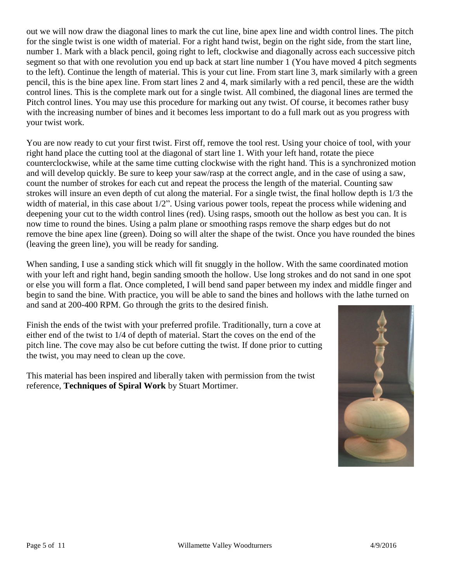out we will now draw the diagonal lines to mark the cut line, bine apex line and width control lines. The pitch for the single twist is one width of material. For a right hand twist, begin on the right side, from the start line, number 1. Mark with a black pencil, going right to left, clockwise and diagonally across each successive pitch segment so that with one revolution you end up back at start line number 1 (You have moved 4 pitch segments to the left). Continue the length of material. This is your cut line. From start line 3, mark similarly with a green pencil, this is the bine apex line. From start lines 2 and 4, mark similarly with a red pencil, these are the width control lines. This is the complete mark out for a single twist. All combined, the diagonal lines are termed the Pitch control lines. You may use this procedure for marking out any twist. Of course, it becomes rather busy with the increasing number of bines and it becomes less important to do a full mark out as you progress with your twist work.

You are now ready to cut your first twist. First off, remove the tool rest. Using your choice of tool, with your right hand place the cutting tool at the diagonal of start line 1. With your left hand, rotate the piece counterclockwise, while at the same time cutting clockwise with the right hand. This is a synchronized motion and will develop quickly. Be sure to keep your saw/rasp at the correct angle, and in the case of using a saw, count the number of strokes for each cut and repeat the process the length of the material. Counting saw strokes will insure an even depth of cut along the material. For a single twist, the final hollow depth is 1/3 the width of material, in this case about  $1/2$ ". Using various power tools, repeat the process while widening and deepening your cut to the width control lines (red). Using rasps, smooth out the hollow as best you can. It is now time to round the bines. Using a palm plane or smoothing rasps remove the sharp edges but do not remove the bine apex line (green). Doing so will alter the shape of the twist. Once you have rounded the bines (leaving the green line), you will be ready for sanding.

When sanding, I use a sanding stick which will fit snuggly in the hollow. With the same coordinated motion with your left and right hand, begin sanding smooth the hollow. Use long strokes and do not sand in one spot or else you will form a flat. Once completed, I will bend sand paper between my index and middle finger and begin to sand the bine. With practice, you will be able to sand the bines and hollows with the lathe turned on and sand at 200-400 RPM. Go through the grits to the desired finish.

Finish the ends of the twist with your preferred profile. Traditionally, turn a cove at either end of the twist to 1/4 of depth of material. Start the coves on the end of the pitch line. The cove may also be cut before cutting the twist. If done prior to cutting the twist, you may need to clean up the cove.

This material has been inspired and liberally taken with permission from the twist reference, **Techniques of Spiral Work** by Stuart Mortimer.

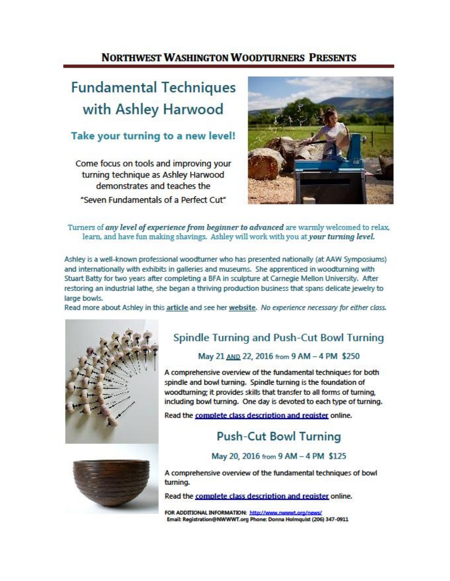## **NORTHWEST WASHINGTON WOODTURNERS PRESENTS**

# **Fundamental Techniques** with Ashley Harwood

### Take your turning to a new level!

Come focus on tools and improving your turning technique as Ashley Harwood demonstrates and teaches the "Seven Fundamentals of a Perfect Cut"



#### Turners of any level of experience from beginner to advanced are warmly welcomed to relax, learn, and have fun making shavings. Ashley will work with you at your turning level.

Ashley is a well-known professional woodturner who has presented nationally (at AAW Symposiums) and internationally with exhibits in galleries and museums. She apprenticed in woodturning with Stuart Batty for two years after completing a BFA in sculpture at Carnegie Mellon University. After restoring an industrial lathe, she began a thriving production business that spans delicate jewelry to large bowls.

Read more about Ashley in this article and see her website. No experience necessary for either class.



## Spindle Turning and Push-Cut Bowl Turning

#### May 21 AND 22, 2016 from 9 AM - 4 PM \$250

A comprehensive overview of the fundamental techniques for both spindle and bowl turning. Spindle turning is the foundation of woodturning: it provides skills that transfer to all forms of turning. including bowl turning. One day is devoted to each type of turning.

Read the complete class description and register online.

# **Push-Cut Bowl Turning**

May 20, 2016 from 9 AM - 4 PM \$125



A comprehensive overview of the fundamental techniques of bowl turning.

Read the complete class description and register online.

FOR ADDITIONAL INFORMATION: http://www.nwwwt.org/news/ Email: Registration@NWWWT.org Phone: Donna Holmquist (206) 347-0911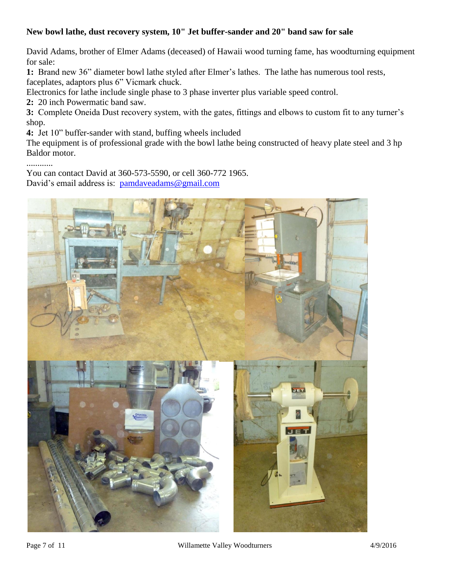#### **New bowl lathe, dust recovery system, 10" Jet buffer-sander and 20" band saw for sale**

David Adams, brother of Elmer Adams (deceased) of Hawaii wood turning fame, has woodturning equipment for sale:

**1:** Brand new 36" diameter bowl lathe styled after Elmer's lathes. The lathe has numerous tool rests, faceplates, adaptors plus 6" Vicmark chuck.

Electronics for lathe include single phase to 3 phase inverter plus variable speed control.

**2:** 20 inch Powermatic band saw.

**3:** Complete Oneida Dust recovery system, with the gates, fittings and elbows to custom fit to any turner's shop.

**4:** Jet 10" buffer-sander with stand, buffing wheels included

The equipment is of professional grade with the bowl lathe being constructed of heavy plate steel and 3 hp Baldor motor.

............

You can contact David at 360-573-5590, or cell 360-772 1965. David's email address is: [pamdaveadams@gmail.com](mailto:pamdaveadams@gmail.com?subject=Items%20for%20sale)

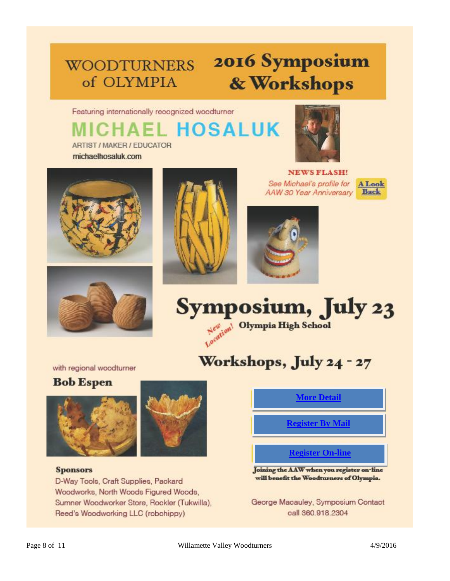# **WOODTURNERS** of OLYMPIA

# 2016 Symposium & Workshops

Featuring internationally recognized woodturner

# **EL HOSALUK** ARTIST / MAKER / EDUCATOR





michaelhosaluk.com





**NEWS FLASH!** See Michael's profile for AAW 30 Year Anniversary







# Workshops, July 24 - 27

with regional woodturner

## **Bob Espen**





#### **Sponsors**

D-Way Tools, Craft Supplies, Packard Woodworks, North Woods Figured Woods, Sumner Woodworker Store, Rookler (Tukwilla), Reed's Woodworking LLC (robohippy)

## **[More Detail](https://aaw.site-ym.com/?2016Olympia)**

**[Register By Mail](http://www.woodturnersofolympia.org/uploads/1/0/8/4/10843369/mail_in_registration.pdf)**

#### **[Register On-line](https://aaw.site-ym.com/?2016Olympia)**

Joining the AAW when you register on-line will benefit the Woodturners of Olympia.

George Macauley, Symposium Contact oall 360.918.2304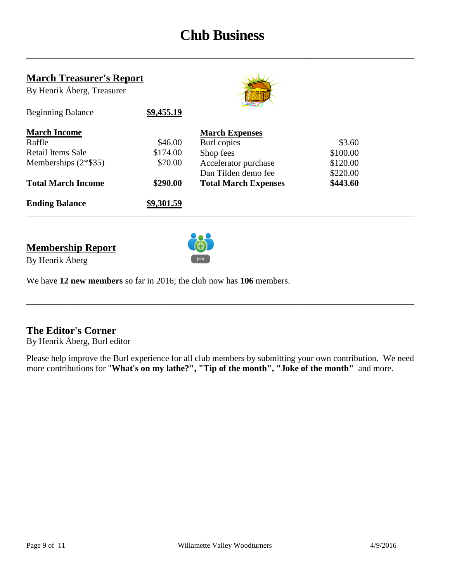# **Club Business**

\_\_\_\_\_\_\_\_\_\_\_\_\_\_\_\_\_\_\_\_\_\_\_\_\_\_\_\_\_\_\_\_\_\_\_\_\_\_\_\_\_\_\_\_\_\_\_\_\_\_\_\_\_\_\_\_\_\_\_\_\_\_\_\_\_\_\_\_\_\_\_\_\_\_\_\_\_\_\_\_\_\_\_\_\_\_\_\_

#### **March Treasurer's Report**

Beginning Balance **\$9,455.19**

By Henrik Åberg, Treasurer



| <b>March Income</b>       |            | <b>March Expenses</b>       |          |  |
|---------------------------|------------|-----------------------------|----------|--|
| Raffle                    | \$46.00    | Burl copies                 | \$3.60   |  |
| Retail Items Sale         | \$174.00   | Shop fees                   | \$100.00 |  |
| Memberships $(2*\$35)$    | \$70.00    | Accelerator purchase        | \$120.00 |  |
|                           |            | Dan Tilden demo fee         | \$220.00 |  |
| <b>Total March Income</b> | \$290.00   | <b>Total March Expenses</b> | \$443.60 |  |
| <b>Ending Balance</b>     | \$9,301.59 |                             |          |  |

### **Membership Report** By Henrik Åberg



We have **12 new members** so far in 2016; the club now has **106** members.

#### **The Editor's Corner**

By Henrik Åberg, Burl editor

Please help improve the Burl experience for all club members by submitting your own contribution. We need more contributions for "**What's on my lathe?", "Tip of the month", "Joke of the month"** and more.

\_\_\_\_\_\_\_\_\_\_\_\_\_\_\_\_\_\_\_\_\_\_\_\_\_\_\_\_\_\_\_\_\_\_\_\_\_\_\_\_\_\_\_\_\_\_\_\_\_\_\_\_\_\_\_\_\_\_\_\_\_\_\_\_\_\_\_\_\_\_\_\_\_\_\_\_\_\_\_\_\_\_\_\_\_\_\_\_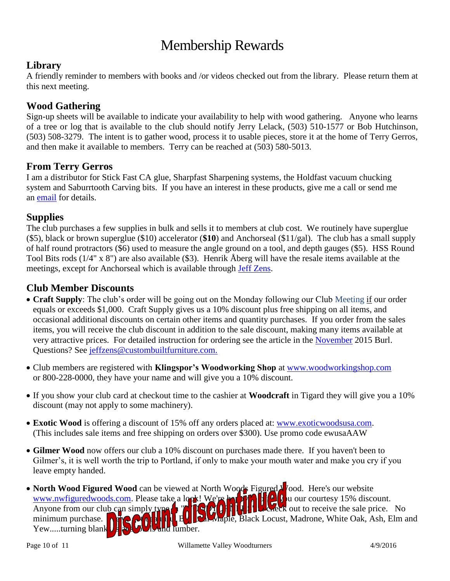# Membership Rewards

#### **Library**

A friendly reminder to members with books and /or videos checked out from the library. Please return them at this next meeting.

#### **Wood Gathering**

Sign-up sheets will be available to indicate your availability to help with wood gathering. Anyone who learns of a tree or log that is available to the club should notify Jerry Lelack, (503) 510-1577 or Bob Hutchinson, (503) 508-3279. The intent is to gather wood, process it to usable pieces, store it at the home of Terry Gerros, and then make it available to members. Terry can be reached at (503) 580-5013.

#### **From Terry Gerros**

I am a distributor for Stick Fast CA glue, Sharpfast Sharpening systems, the Holdfast vacuum chucking system and Saburrtooth Carving bits. If you have an interest in these products, give me a call or send me an [email](mailto:gerrost@yahoo.com) for details.

#### **Supplies**

The club purchases a few supplies in bulk and sells it to members at club cost. We routinely have superglue (\$5), black or brown superglue (\$10) accelerator (**\$10**) and Anchorseal (\$11/gal). The club has a small supply of half round protractors (\$6) used to measure the angle ground on a tool, and depth gauges (\$5). HSS Round Tool Bits rods (1/4" x 8") are also available (\$3). Henrik Åberg will have the resale items available at the meetings, except for Anchorseal which is available through [Jeff Zens.](mailto:jszens@custombuiltfurniture.com)

#### **Club Member Discounts**

- **Craft Supply**: The club's order will be going out on the Monday following our Club Meeting if our order equals or exceeds \$1,000. Craft Supply gives us a 10% discount plus free shipping on all items, and occasional additional discounts on certain other items and quantity purchases. If you order from the sales items, you will receive the club discount in addition to the sale discount, making many items available at very attractive prices. For detailed instruction for ordering see the article in the [November](http://www.willamettevalleywoodturners.com/newsletters/2015_11_WVW_Newsletter.pdf) 2015 Burl. Questions? See [jeffzens@custombuiltfurniture.com.](mailto:jeffzens@custombuiltfurniture.com.)
- Club members are registered with **Klingspor's Woodworking Shop** at [www.woodworkingshop.com](http://www.woodworkingshop.com/)  or 800-228-0000, they have your name and will give you a 10% discount.
- If you show your club card at checkout time to the cashier at **Woodcraft** in Tigard they will give you a 10% discount (may not apply to some machinery).
- **Exotic Wood** is offering a discount of 15% off any orders placed at: [www.exoticwoodsusa.com.](http://www.exoticwoodsusa.com/) (This includes sale items and free shipping on orders over \$300). Use promo code ewusaAAW
- **Gilmer Wood** now offers our club a 10% discount on purchases made there. If you haven't been to Gilmer's, it is well worth the trip to Portland, if only to make your mouth water and make you cry if you leave empty handed.
- North Wood Figured Wood can be viewed at North Woods Figured North Figure No. Here's our website [www.nwfiguredwoods.com.](http://www.nwfiguredwoods.com/) Please take a look! We're happy to  $\theta$  wour courtesy 15% discount. Anyone from our club can simply type **in the contract of the sale changes** at to receive the sale price. No minimum purchase. We calculate the  $\mathbb{R}$  Big Leaf Maple, Black Locust, Madrone, White Oak, Ash, Elm and  $Yew...$ turning blank $\bigcup_{s} w$  burls and lumber.